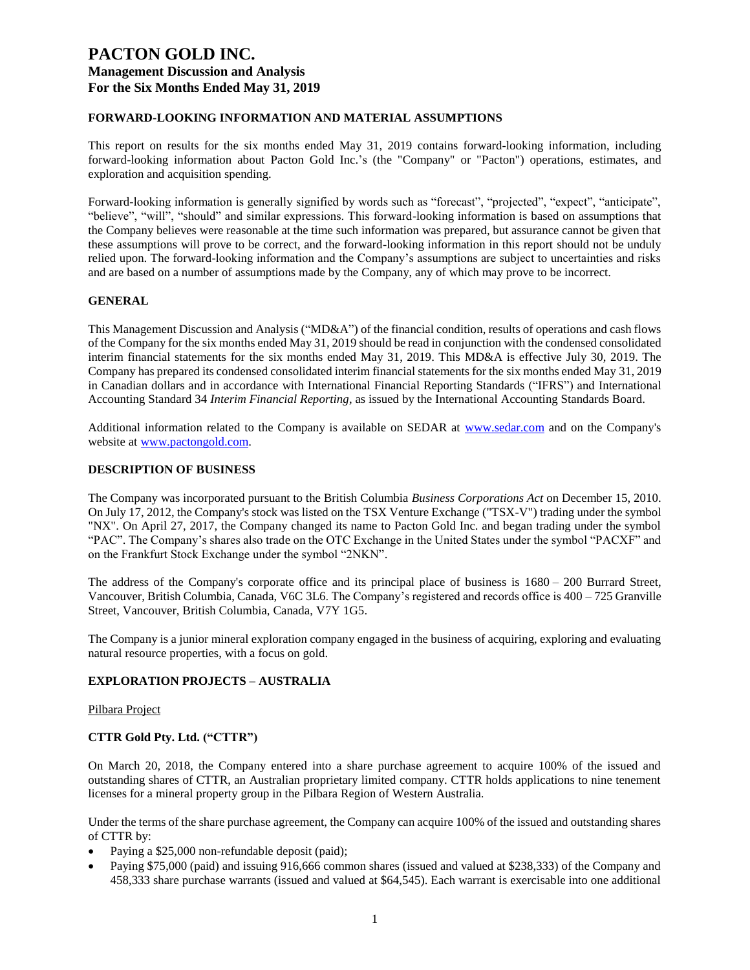### **FORWARD-LOOKING INFORMATION AND MATERIAL ASSUMPTIONS**

This report on results for the six months ended May 31, 2019 contains forward-looking information, including forward-looking information about Pacton Gold Inc.'s (the "Company" or "Pacton") operations, estimates, and exploration and acquisition spending.

Forward-looking information is generally signified by words such as "forecast", "projected", "expect", "anticipate", "believe", "will", "should" and similar expressions. This forward-looking information is based on assumptions that the Company believes were reasonable at the time such information was prepared, but assurance cannot be given that these assumptions will prove to be correct, and the forward-looking information in this report should not be unduly relied upon. The forward-looking information and the Company's assumptions are subject to uncertainties and risks and are based on a number of assumptions made by the Company, any of which may prove to be incorrect.

### **GENERAL**

This Management Discussion and Analysis ("MD&A") of the financial condition, results of operations and cash flows of the Company for the six months ended May 31, 2019 should be read in conjunction with the condensed consolidated interim financial statements for the six months ended May 31, 2019. This MD&A is effective July 30, 2019. The Company has prepared its condensed consolidated interim financial statements for the six months ended May 31, 2019 in Canadian dollars and in accordance with International Financial Reporting Standards ("IFRS") and International Accounting Standard 34 *Interim Financial Reporting*, as issued by the International Accounting Standards Board.

Additional information related to the Company is available on SEDAR at [www.sedar.com](http://www.sedar.com/) and on the Company's website at [www.pactongold.com.](http://www.pactongold.com/)

#### **DESCRIPTION OF BUSINESS**

The Company was incorporated pursuant to the British Columbia *Business Corporations Act* on December 15, 2010. On July 17, 2012, the Company's stock was listed on the TSX Venture Exchange ("TSX-V") trading under the symbol "NX". On April 27, 2017, the Company changed its name to Pacton Gold Inc. and began trading under the symbol "PAC". The Company's shares also trade on the OTC Exchange in the United States under the symbol "PACXF" and on the Frankfurt Stock Exchange under the symbol "2NKN".

The address of the Company's corporate office and its principal place of business is 1680 – 200 Burrard Street, Vancouver, British Columbia, Canada, V6C 3L6. The Company's registered and records office is 400 – 725 Granville Street, Vancouver, British Columbia, Canada, V7Y 1G5.

The Company is a junior mineral exploration company engaged in the business of acquiring, exploring and evaluating natural resource properties, with a focus on gold.

### **EXPLORATION PROJECTS – AUSTRALIA**

#### Pilbara Project

### **CTTR Gold Pty. Ltd. ("CTTR")**

On March 20, 2018, the Company entered into a share purchase agreement to acquire 100% of the issued and outstanding shares of CTTR, an Australian proprietary limited company. CTTR holds applications to nine tenement licenses for a mineral property group in the Pilbara Region of Western Australia.

Under the terms of the share purchase agreement, the Company can acquire 100% of the issued and outstanding shares of CTTR by:

- Paying a \$25,000 non-refundable deposit (paid);
- Paying \$75,000 (paid) and issuing 916,666 common shares (issued and valued at \$238,333) of the Company and 458,333 share purchase warrants (issued and valued at \$64,545). Each warrant is exercisable into one additional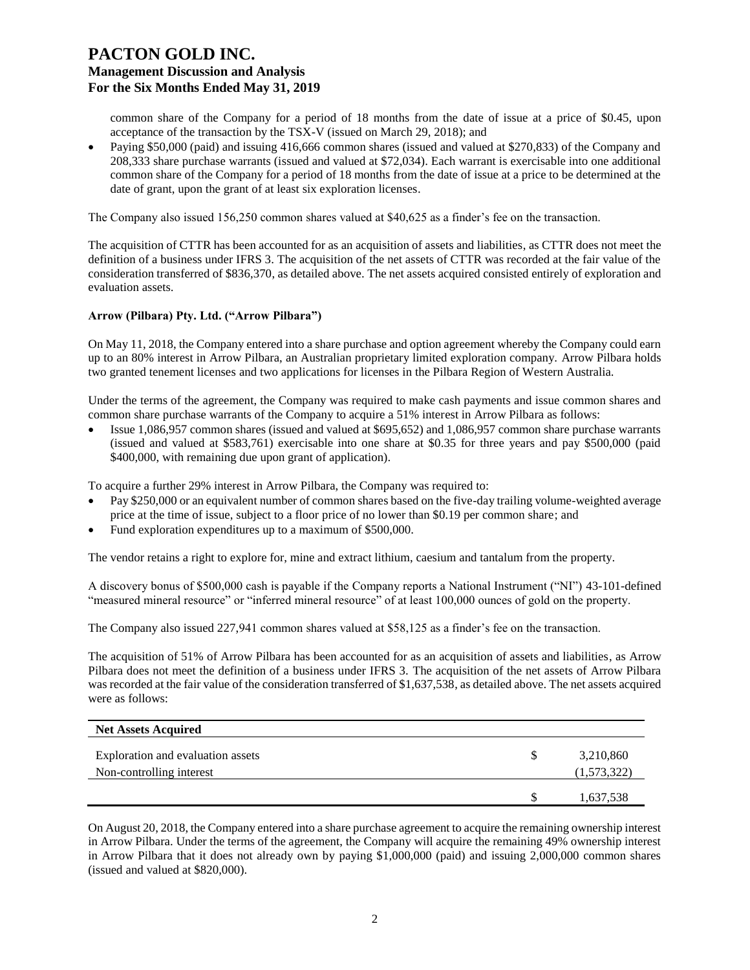common share of the Company for a period of 18 months from the date of issue at a price of \$0.45, upon acceptance of the transaction by the TSX-V (issued on March 29, 2018); and

• Paying \$50,000 (paid) and issuing 416,666 common shares (issued and valued at \$270,833) of the Company and 208,333 share purchase warrants (issued and valued at \$72,034). Each warrant is exercisable into one additional common share of the Company for a period of 18 months from the date of issue at a price to be determined at the date of grant, upon the grant of at least six exploration licenses.

The Company also issued 156,250 common shares valued at \$40,625 as a finder's fee on the transaction.

The acquisition of CTTR has been accounted for as an acquisition of assets and liabilities, as CTTR does not meet the definition of a business under IFRS 3. The acquisition of the net assets of CTTR was recorded at the fair value of the consideration transferred of \$836,370, as detailed above. The net assets acquired consisted entirely of exploration and evaluation assets.

#### **Arrow (Pilbara) Pty. Ltd. ("Arrow Pilbara")**

On May 11, 2018, the Company entered into a share purchase and option agreement whereby the Company could earn up to an 80% interest in Arrow Pilbara, an Australian proprietary limited exploration company. Arrow Pilbara holds two granted tenement licenses and two applications for licenses in the Pilbara Region of Western Australia.

Under the terms of the agreement, the Company was required to make cash payments and issue common shares and common share purchase warrants of the Company to acquire a 51% interest in Arrow Pilbara as follows:

• Issue 1,086,957 common shares (issued and valued at \$695,652) and 1,086,957 common share purchase warrants (issued and valued at \$583,761) exercisable into one share at \$0.35 for three years and pay \$500,000 (paid \$400,000, with remaining due upon grant of application).

To acquire a further 29% interest in Arrow Pilbara, the Company was required to:

- Pay \$250,000 or an equivalent number of common shares based on the five-day trailing volume-weighted average price at the time of issue, subject to a floor price of no lower than \$0.19 per common share; and
- Fund exploration expenditures up to a maximum of \$500,000.

The vendor retains a right to explore for, mine and extract lithium, caesium and tantalum from the property.

A discovery bonus of \$500,000 cash is payable if the Company reports a National Instrument ("NI") 43-101-defined "measured mineral resource" or "inferred mineral resource" of at least 100,000 ounces of gold on the property.

The Company also issued 227,941 common shares valued at \$58,125 as a finder's fee on the transaction.

The acquisition of 51% of Arrow Pilbara has been accounted for as an acquisition of assets and liabilities, as Arrow Pilbara does not meet the definition of a business under IFRS 3. The acquisition of the net assets of Arrow Pilbara was recorded at the fair value of the consideration transferred of \$1,637,538, as detailed above. The net assets acquired were as follows:

| <b>Net Assets Acquired</b>                                    |                          |
|---------------------------------------------------------------|--------------------------|
| Exploration and evaluation assets<br>Non-controlling interest | 3,210,860<br>(1,573,322) |
|                                                               | 1,637,538                |

On August 20, 2018, the Company entered into a share purchase agreement to acquire the remaining ownership interest in Arrow Pilbara. Under the terms of the agreement, the Company will acquire the remaining 49% ownership interest in Arrow Pilbara that it does not already own by paying \$1,000,000 (paid) and issuing 2,000,000 common shares (issued and valued at \$820,000).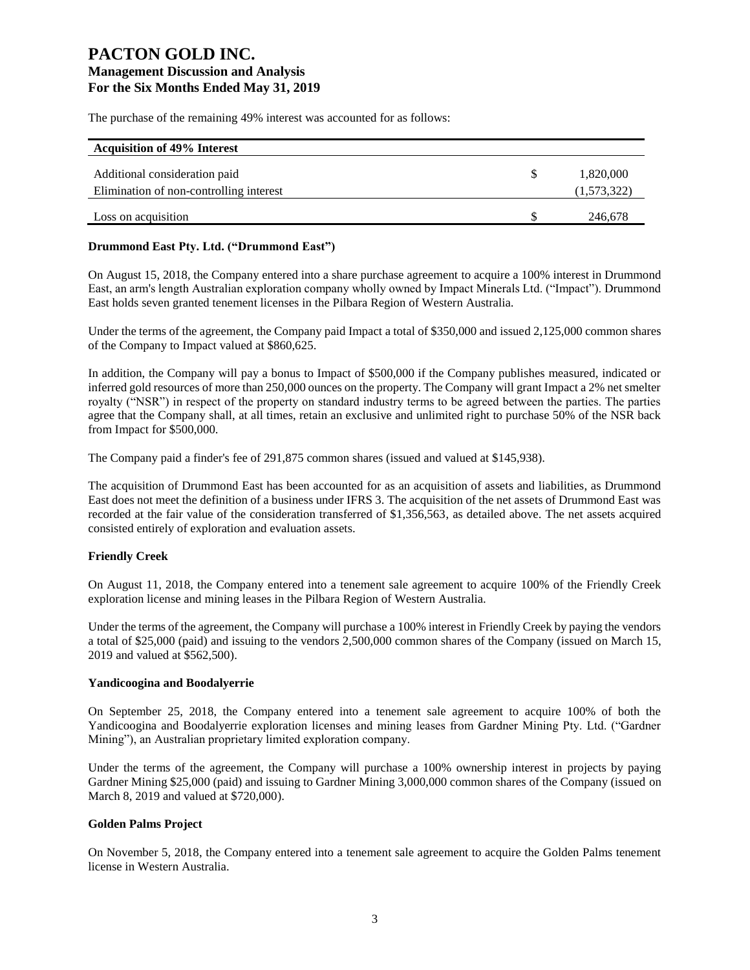The purchase of the remaining 49% interest was accounted for as follows:

| <b>Acquisition of 49% Interest</b>      |   |             |
|-----------------------------------------|---|-------------|
| Additional consideration paid           | S | 1,820,000   |
| Elimination of non-controlling interest |   | (1,573,322) |
|                                         |   |             |
| Loss on acquisition                     |   | 246,678     |

### **Drummond East Pty. Ltd. ("Drummond East")**

On August 15, 2018, the Company entered into a share purchase agreement to acquire a 100% interest in Drummond East, an arm's length Australian exploration company wholly owned by Impact Minerals Ltd. ("Impact"). Drummond East holds seven granted tenement licenses in the Pilbara Region of Western Australia.

Under the terms of the agreement, the Company paid Impact a total of \$350,000 and issued 2,125,000 common shares of the Company to Impact valued at \$860,625.

In addition, the Company will pay a bonus to Impact of \$500,000 if the Company publishes measured, indicated or inferred gold resources of more than 250,000 ounces on the property. The Company will grant Impact a 2% net smelter royalty ("NSR") in respect of the property on standard industry terms to be agreed between the parties. The parties agree that the Company shall, at all times, retain an exclusive and unlimited right to purchase 50% of the NSR back from Impact for \$500,000.

The Company paid a finder's fee of 291,875 common shares (issued and valued at \$145,938).

The acquisition of Drummond East has been accounted for as an acquisition of assets and liabilities, as Drummond East does not meet the definition of a business under IFRS 3. The acquisition of the net assets of Drummond East was recorded at the fair value of the consideration transferred of \$1,356,563, as detailed above. The net assets acquired consisted entirely of exploration and evaluation assets.

### **Friendly Creek**

On August 11, 2018, the Company entered into a tenement sale agreement to acquire 100% of the Friendly Creek exploration license and mining leases in the Pilbara Region of Western Australia.

Under the terms of the agreement, the Company will purchase a 100% interest in Friendly Creek by paying the vendors a total of \$25,000 (paid) and issuing to the vendors 2,500,000 common shares of the Company (issued on March 15, 2019 and valued at \$562,500).

### **Yandicoogina and Boodalyerrie**

On September 25, 2018, the Company entered into a tenement sale agreement to acquire 100% of both the Yandicoogina and Boodalyerrie exploration licenses and mining leases from Gardner Mining Pty. Ltd. ("Gardner Mining"), an Australian proprietary limited exploration company.

Under the terms of the agreement, the Company will purchase a 100% ownership interest in projects by paying Gardner Mining \$25,000 (paid) and issuing to Gardner Mining 3,000,000 common shares of the Company (issued on March 8, 2019 and valued at \$720,000).

### **Golden Palms Project**

On November 5, 2018, the Company entered into a tenement sale agreement to acquire the Golden Palms tenement license in Western Australia.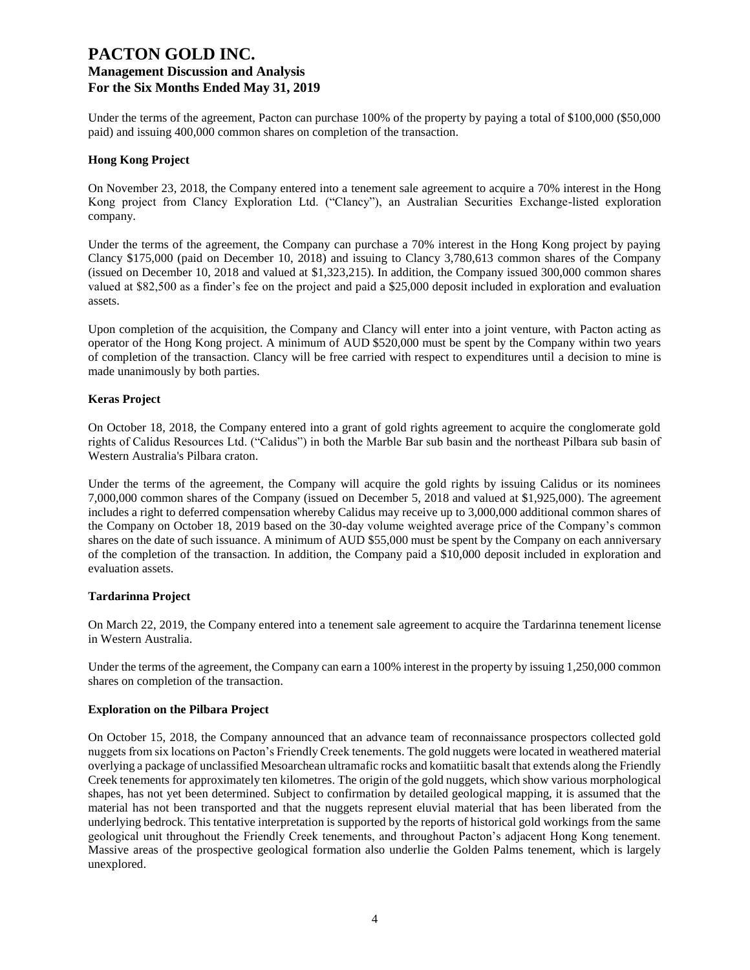Under the terms of the agreement, Pacton can purchase 100% of the property by paying a total of \$100,000 (\$50,000) paid) and issuing 400,000 common shares on completion of the transaction.

#### **Hong Kong Project**

On November 23, 2018, the Company entered into a tenement sale agreement to acquire a 70% interest in the Hong Kong project from Clancy Exploration Ltd. ("Clancy"), an Australian Securities Exchange-listed exploration company.

Under the terms of the agreement, the Company can purchase a 70% interest in the Hong Kong project by paying Clancy \$175,000 (paid on December 10, 2018) and issuing to Clancy 3,780,613 common shares of the Company (issued on December 10, 2018 and valued at \$1,323,215). In addition, the Company issued 300,000 common shares valued at \$82,500 as a finder's fee on the project and paid a \$25,000 deposit included in exploration and evaluation assets.

Upon completion of the acquisition, the Company and Clancy will enter into a joint venture, with Pacton acting as operator of the Hong Kong project. A minimum of AUD \$520,000 must be spent by the Company within two years of completion of the transaction. Clancy will be free carried with respect to expenditures until a decision to mine is made unanimously by both parties.

#### **Keras Project**

On October 18, 2018, the Company entered into a grant of gold rights agreement to acquire the conglomerate gold rights of Calidus Resources Ltd. ("Calidus") in both the Marble Bar sub basin and the northeast Pilbara sub basin of Western Australia's Pilbara craton.

Under the terms of the agreement, the Company will acquire the gold rights by issuing Calidus or its nominees 7,000,000 common shares of the Company (issued on December 5, 2018 and valued at \$1,925,000). The agreement includes a right to deferred compensation whereby Calidus may receive up to 3,000,000 additional common shares of the Company on October 18, 2019 based on the 30-day volume weighted average price of the Company's common shares on the date of such issuance. A minimum of AUD \$55,000 must be spent by the Company on each anniversary of the completion of the transaction. In addition, the Company paid a \$10,000 deposit included in exploration and evaluation assets.

### **Tardarinna Project**

On March 22, 2019, the Company entered into a tenement sale agreement to acquire the Tardarinna tenement license in Western Australia.

Under the terms of the agreement, the Company can earn a 100% interest in the property by issuing 1,250,000 common shares on completion of the transaction.

#### **Exploration on the Pilbara Project**

On October 15, 2018, the Company announced that an advance team of reconnaissance prospectors collected gold nuggets from six locations on Pacton's Friendly Creek tenements. The gold nuggets were located in weathered material overlying a package of unclassified Mesoarchean ultramafic rocks and komatiitic basalt that extends along the Friendly Creek tenements for approximately ten kilometres. The origin of the gold nuggets, which show various morphological shapes, has not yet been determined. Subject to confirmation by detailed geological mapping, it is assumed that the material has not been transported and that the nuggets represent eluvial material that has been liberated from the underlying bedrock. This tentative interpretation is supported by the reports of historical gold workings from the same geological unit throughout the Friendly Creek tenements, and throughout Pacton's adjacent Hong Kong tenement. Massive areas of the prospective geological formation also underlie the Golden Palms tenement, which is largely unexplored.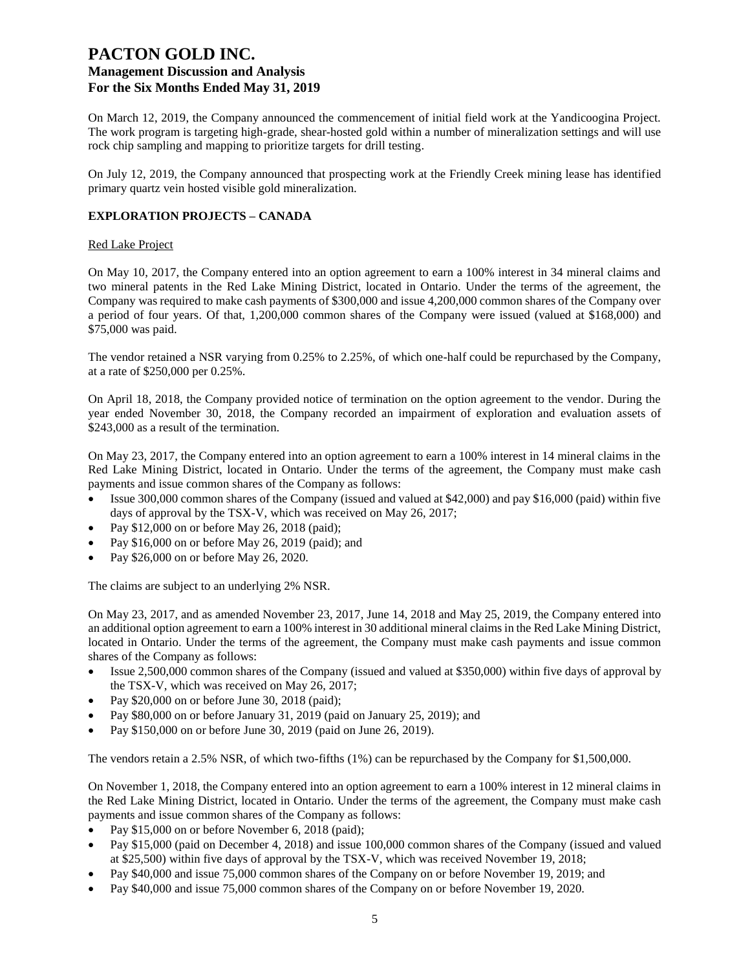On March 12, 2019, the Company announced the commencement of initial field work at the Yandicoogina Project. The work program is targeting high-grade, shear-hosted gold within a number of mineralization settings and will use rock chip sampling and mapping to prioritize targets for drill testing.

On July 12, 2019, the Company announced that prospecting work at the Friendly Creek mining lease has identified primary quartz vein hosted visible gold mineralization.

### **EXPLORATION PROJECTS – CANADA**

#### Red Lake Project

On May 10, 2017, the Company entered into an option agreement to earn a 100% interest in 34 mineral claims and two mineral patents in the Red Lake Mining District, located in Ontario. Under the terms of the agreement, the Company was required to make cash payments of \$300,000 and issue 4,200,000 common shares of the Company over a period of four years. Of that, 1,200,000 common shares of the Company were issued (valued at \$168,000) and \$75,000 was paid.

The vendor retained a NSR varying from 0.25% to 2.25%, of which one-half could be repurchased by the Company, at a rate of \$250,000 per 0.25%.

On April 18, 2018, the Company provided notice of termination on the option agreement to the vendor. During the year ended November 30, 2018, the Company recorded an impairment of exploration and evaluation assets of \$243,000 as a result of the termination.

On May 23, 2017, the Company entered into an option agreement to earn a 100% interest in 14 mineral claims in the Red Lake Mining District, located in Ontario. Under the terms of the agreement, the Company must make cash payments and issue common shares of the Company as follows:

- Issue 300,000 common shares of the Company (issued and valued at \$42,000) and pay \$16,000 (paid) within five days of approval by the TSX-V, which was received on May 26, 2017;
- Pay \$12,000 on or before May 26, 2018 (paid);
- Pay \$16,000 on or before May 26, 2019 (paid); and
- Pay \$26,000 on or before May 26, 2020.

The claims are subject to an underlying 2% NSR.

On May 23, 2017, and as amended November 23, 2017, June 14, 2018 and May 25, 2019, the Company entered into an additional option agreement to earn a 100% interest in 30 additional mineral claims in the Red Lake Mining District, located in Ontario. Under the terms of the agreement, the Company must make cash payments and issue common shares of the Company as follows:

- Issue 2,500,000 common shares of the Company (issued and valued at \$350,000) within five days of approval by the TSX-V, which was received on May 26, 2017;
- Pay \$20,000 on or before June 30, 2018 (paid);
- Pay \$80,000 on or before January 31, 2019 (paid on January 25, 2019); and
- Pay \$150,000 on or before June 30, 2019 (paid on June 26, 2019).

The vendors retain a 2.5% NSR, of which two-fifths (1%) can be repurchased by the Company for \$1,500,000.

On November 1, 2018, the Company entered into an option agreement to earn a 100% interest in 12 mineral claims in the Red Lake Mining District, located in Ontario. Under the terms of the agreement, the Company must make cash payments and issue common shares of the Company as follows:

- Pay \$15,000 on or before November 6, 2018 (paid);
- Pay \$15,000 (paid on December 4, 2018) and issue 100,000 common shares of the Company (issued and valued at \$25,500) within five days of approval by the TSX-V, which was received November 19, 2018;
- Pay \$40,000 and issue 75,000 common shares of the Company on or before November 19, 2019; and
- Pay \$40,000 and issue 75,000 common shares of the Company on or before November 19, 2020.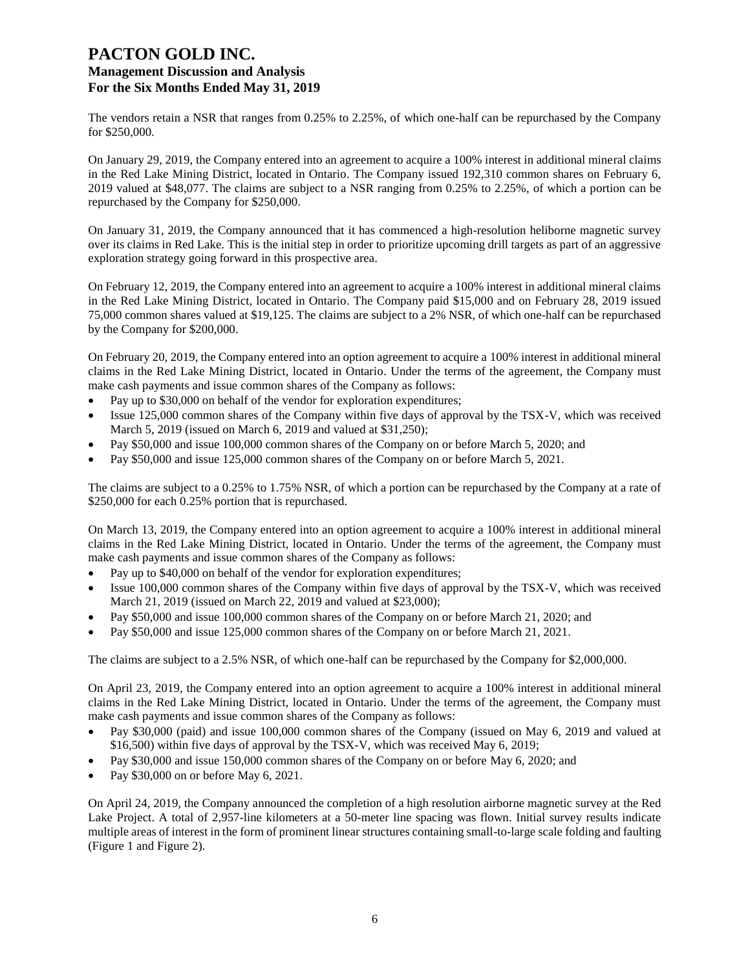The vendors retain a NSR that ranges from 0.25% to 2.25%, of which one-half can be repurchased by the Company for \$250,000.

On January 29, 2019, the Company entered into an agreement to acquire a 100% interest in additional mineral claims in the Red Lake Mining District, located in Ontario. The Company issued 192,310 common shares on February 6, 2019 valued at \$48,077. The claims are subject to a NSR ranging from 0.25% to 2.25%, of which a portion can be repurchased by the Company for \$250,000.

On January 31, 2019, the Company announced that it has commenced a high-resolution heliborne magnetic survey over its claims in Red Lake. This is the initial step in order to prioritize upcoming drill targets as part of an aggressive exploration strategy going forward in this prospective area.

On February 12, 2019, the Company entered into an agreement to acquire a 100% interest in additional mineral claims in the Red Lake Mining District, located in Ontario. The Company paid \$15,000 and on February 28, 2019 issued 75,000 common shares valued at \$19,125. The claims are subject to a 2% NSR, of which one-half can be repurchased by the Company for \$200,000.

On February 20, 2019, the Company entered into an option agreement to acquire a 100% interest in additional mineral claims in the Red Lake Mining District, located in Ontario. Under the terms of the agreement, the Company must make cash payments and issue common shares of the Company as follows:

- Pay up to \$30,000 on behalf of the vendor for exploration expenditures;
- Issue 125,000 common shares of the Company within five days of approval by the TSX-V, which was received March 5, 2019 (issued on March 6, 2019 and valued at \$31,250);
- Pay \$50,000 and issue 100,000 common shares of the Company on or before March 5, 2020; and
- Pay \$50,000 and issue 125,000 common shares of the Company on or before March 5, 2021.

The claims are subject to a 0.25% to 1.75% NSR, of which a portion can be repurchased by the Company at a rate of \$250,000 for each 0.25% portion that is repurchased.

On March 13, 2019, the Company entered into an option agreement to acquire a 100% interest in additional mineral claims in the Red Lake Mining District, located in Ontario. Under the terms of the agreement, the Company must make cash payments and issue common shares of the Company as follows:

- Pay up to \$40,000 on behalf of the vendor for exploration expenditures;
- Issue 100,000 common shares of the Company within five days of approval by the TSX-V, which was received March 21, 2019 (issued on March 22, 2019 and valued at \$23,000);
- Pay \$50,000 and issue 100,000 common shares of the Company on or before March 21, 2020; and
- Pay \$50,000 and issue 125,000 common shares of the Company on or before March 21, 2021.

The claims are subject to a 2.5% NSR, of which one-half can be repurchased by the Company for \$2,000,000.

On April 23, 2019, the Company entered into an option agreement to acquire a 100% interest in additional mineral claims in the Red Lake Mining District, located in Ontario. Under the terms of the agreement, the Company must make cash payments and issue common shares of the Company as follows:

- Pay \$30,000 (paid) and issue 100,000 common shares of the Company (issued on May 6, 2019 and valued at \$16,500) within five days of approval by the TSX-V, which was received May 6, 2019;
- Pay \$30,000 and issue 150,000 common shares of the Company on or before May 6, 2020; and
- Pay \$30,000 on or before May 6, 2021.

On April 24, 2019, the Company announced the completion of a high resolution airborne magnetic survey at the Red Lake Project. A total of 2,957-line kilometers at a 50-meter line spacing was flown. Initial survey results indicate multiple areas of interest in the form of prominent linear structures containing small-to-large scale folding and faulting (Figure 1 and Figure 2).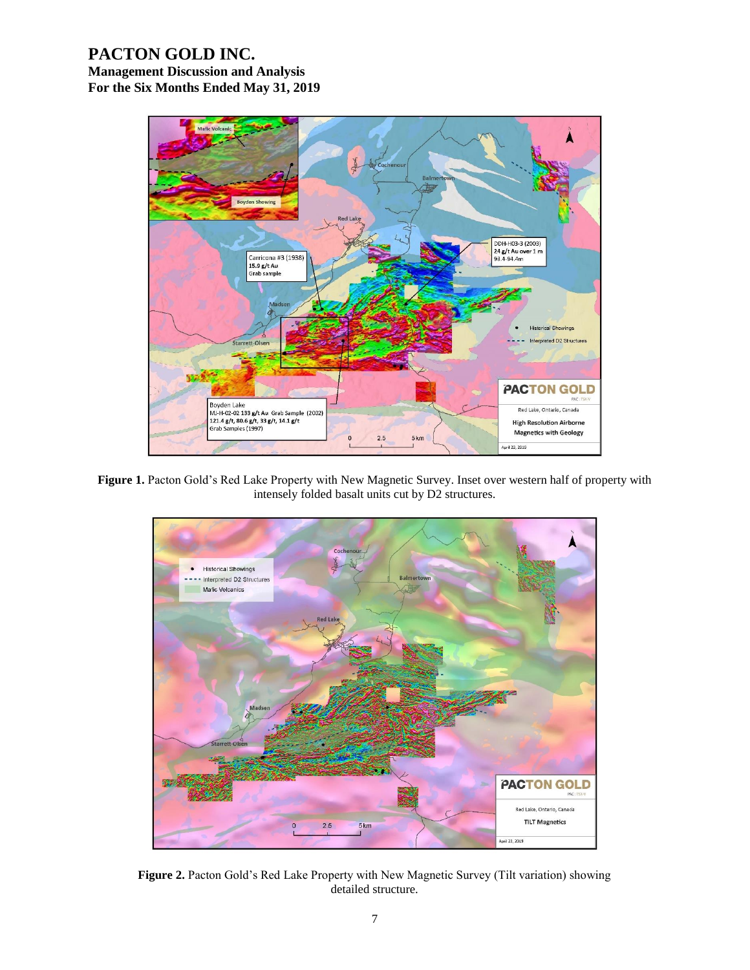

Figure 1. Pacton Gold's Red Lake Property with New Magnetic Survey. Inset over western half of property with intensely folded basalt units cut by D2 structures.



**Figure 2.** Pacton Gold's Red Lake Property with New Magnetic Survey (Tilt variation) showing detailed structure.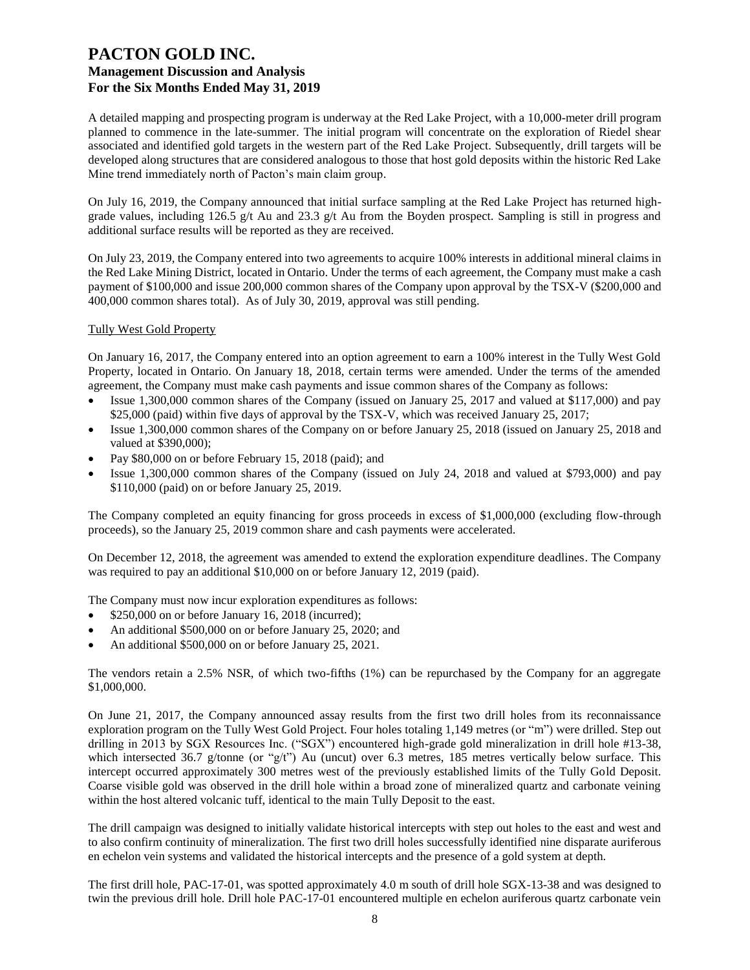A detailed mapping and prospecting program is underway at the Red Lake Project, with a 10,000-meter drill program planned to commence in the late-summer. The initial program will concentrate on the exploration of Riedel shear associated and identified gold targets in the western part of the Red Lake Project. Subsequently, drill targets will be developed along structures that are considered analogous to those that host gold deposits within the historic Red Lake Mine trend immediately north of Pacton's main claim group.

On July 16, 2019, the Company announced that initial surface sampling at the Red Lake Project has returned highgrade values, including 126.5 g/t Au and 23.3 g/t Au from the Boyden prospect. Sampling is still in progress and additional surface results will be reported as they are received.

On July 23, 2019, the Company entered into two agreements to acquire 100% interests in additional mineral claims in the Red Lake Mining District, located in Ontario. Under the terms of each agreement, the Company must make a cash payment of \$100,000 and issue 200,000 common shares of the Company upon approval by the TSX-V (\$200,000 and 400,000 common shares total). As of July 30, 2019, approval was still pending.

#### Tully West Gold Property

On January 16, 2017, the Company entered into an option agreement to earn a 100% interest in the Tully West Gold Property, located in Ontario. On January 18, 2018, certain terms were amended. Under the terms of the amended agreement, the Company must make cash payments and issue common shares of the Company as follows:

- Issue 1,300,000 common shares of the Company (issued on January 25, 2017 and valued at \$117,000) and pay \$25,000 (paid) within five days of approval by the TSX-V, which was received January 25, 2017;
- Issue 1,300,000 common shares of the Company on or before January 25, 2018 (issued on January 25, 2018 and valued at \$390,000);
- Pay \$80,000 on or before February 15, 2018 (paid); and
- Issue 1,300,000 common shares of the Company (issued on July 24, 2018 and valued at \$793,000) and pay \$110,000 (paid) on or before January 25, 2019.

The Company completed an equity financing for gross proceeds in excess of \$1,000,000 (excluding flow-through proceeds), so the January 25, 2019 common share and cash payments were accelerated.

On December 12, 2018, the agreement was amended to extend the exploration expenditure deadlines. The Company was required to pay an additional \$10,000 on or before January 12, 2019 (paid).

The Company must now incur exploration expenditures as follows:

- \$250,000 on or before January 16, 2018 (incurred);
- An additional \$500,000 on or before January 25, 2020; and
- An additional \$500,000 on or before January 25, 2021.

The vendors retain a 2.5% NSR, of which two-fifths (1%) can be repurchased by the Company for an aggregate \$1,000,000.

On June 21, 2017, the Company announced assay results from the first two drill holes from its reconnaissance exploration program on the Tully West Gold Project. Four holes totaling 1,149 metres (or "m") were drilled. Step out drilling in 2013 by SGX Resources Inc. ("SGX") encountered high-grade gold mineralization in drill hole #13-38, which intersected 36.7 g/tonne (or "g/t") Au (uncut) over 6.3 metres, 185 metres vertically below surface. This intercept occurred approximately 300 metres west of the previously established limits of the Tully Gold Deposit. Coarse visible gold was observed in the drill hole within a broad zone of mineralized quartz and carbonate veining within the host altered volcanic tuff, identical to the main Tully Deposit to the east.

The drill campaign was designed to initially validate historical intercepts with step out holes to the east and west and to also confirm continuity of mineralization. The first two drill holes successfully identified nine disparate auriferous en echelon vein systems and validated the historical intercepts and the presence of a gold system at depth.

The first drill hole, PAC-17-01, was spotted approximately 4.0 m south of drill hole SGX-13-38 and was designed to twin the previous drill hole. Drill hole PAC-17-01 encountered multiple en echelon auriferous quartz carbonate vein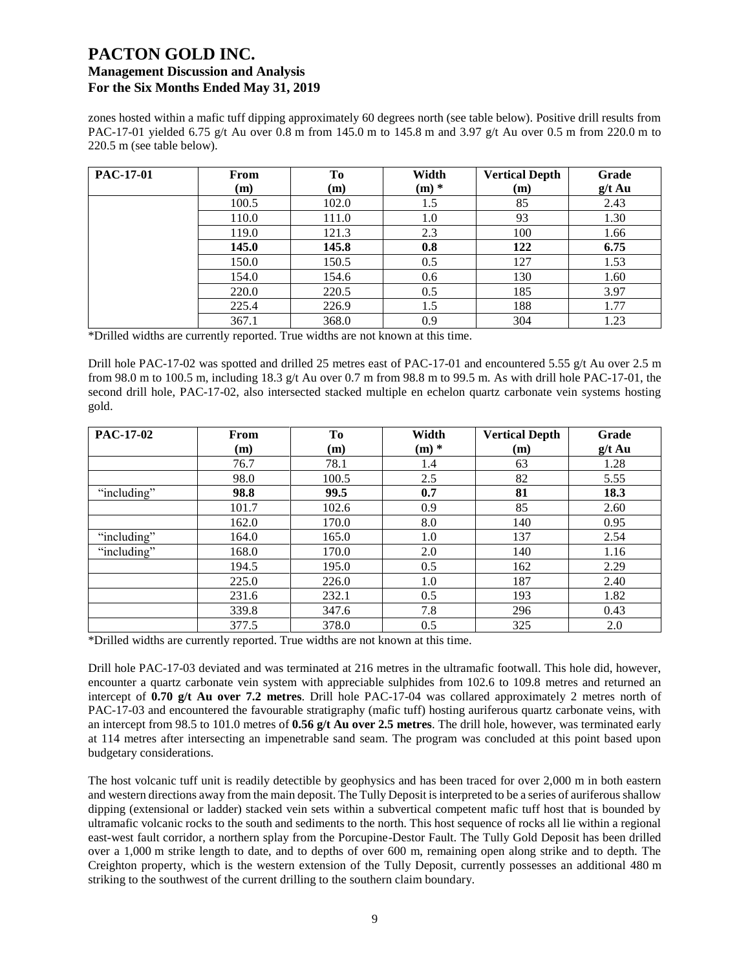zones hosted within a mafic tuff dipping approximately 60 degrees north (see table below). Positive drill results from PAC-17-01 yielded 6.75 g/t Au over 0.8 m from 145.0 m to 145.8 m and 3.97 g/t Au over 0.5 m from 220.0 m to 220.5 m (see table below).

| PAC-17-01 | From<br>(m) | To<br>(m) | Width<br>$(m)$ * | <b>Vertical Depth</b><br>(m) | Grade<br>$g/t$ Au |
|-----------|-------------|-----------|------------------|------------------------------|-------------------|
|           | 100.5       | 102.0     | 1.5              | 85                           | 2.43              |
|           | 110.0       | 111.0     | 1.0              | 93                           | 1.30              |
|           | 119.0       | 121.3     | 2.3              | 100                          | 1.66              |
|           | 145.0       | 145.8     | 0.8              | 122                          | 6.75              |
|           | 150.0       | 150.5     | 0.5              | 127                          | 1.53              |
|           | 154.0       | 154.6     | 0.6              | 130                          | 1.60              |
|           | 220.0       | 220.5     | 0.5              | 185                          | 3.97              |
|           | 225.4       | 226.9     | 1.5              | 188                          | 1.77              |
|           | 367.1       | 368.0     | 0.9              | 304                          | 1.23              |

\*Drilled widths are currently reported. True widths are not known at this time.

Drill hole PAC-17-02 was spotted and drilled 25 metres east of PAC-17-01 and encountered 5.55 g/t Au over 2.5 m from 98.0 m to 100.5 m, including 18.3 g/t Au over 0.7 m from 98.8 m to 99.5 m. As with drill hole PAC-17-01, the second drill hole, PAC-17-02, also intersected stacked multiple en echelon quartz carbonate vein systems hosting gold.

| <b>PAC-17-02</b> | From  | To    | Width   | <b>Vertical Depth</b> | Grade    |
|------------------|-------|-------|---------|-----------------------|----------|
|                  | (m)   | (m)   | $(m)$ * | (m)                   | $g/t$ Au |
|                  | 76.7  | 78.1  | 1.4     | 63                    | 1.28     |
|                  | 98.0  | 100.5 | 2.5     | 82                    | 5.55     |
| "including"      | 98.8  | 99.5  | 0.7     | 81                    | 18.3     |
|                  | 101.7 | 102.6 | 0.9     | 85                    | 2.60     |
|                  | 162.0 | 170.0 | 8.0     | 140                   | 0.95     |
| "including"      | 164.0 | 165.0 | 1.0     | 137                   | 2.54     |
| "including"      | 168.0 | 170.0 | 2.0     | 140                   | 1.16     |
|                  | 194.5 | 195.0 | 0.5     | 162                   | 2.29     |
|                  | 225.0 | 226.0 | 1.0     | 187                   | 2.40     |
|                  | 231.6 | 232.1 | 0.5     | 193                   | 1.82     |
|                  | 339.8 | 347.6 | 7.8     | 296                   | 0.43     |
|                  | 377.5 | 378.0 | 0.5     | 325                   | 2.0      |

\*Drilled widths are currently reported. True widths are not known at this time.

Drill hole PAC-17-03 deviated and was terminated at 216 metres in the ultramafic footwall. This hole did, however, encounter a quartz carbonate vein system with appreciable sulphides from 102.6 to 109.8 metres and returned an intercept of **0.70 g/t Au over 7.2 metres**. Drill hole PAC-17-04 was collared approximately 2 metres north of PAC-17-03 and encountered the favourable stratigraphy (mafic tuff) hosting auriferous quartz carbonate veins, with an intercept from 98.5 to 101.0 metres of **0.56 g/t Au over 2.5 metres**. The drill hole, however, was terminated early at 114 metres after intersecting an impenetrable sand seam. The program was concluded at this point based upon budgetary considerations.

The host volcanic tuff unit is readily detectible by geophysics and has been traced for over 2,000 m in both eastern and western directions away from the main deposit. The Tully Deposit is interpreted to be a series of auriferous shallow dipping (extensional or ladder) stacked vein sets within a subvertical competent mafic tuff host that is bounded by ultramafic volcanic rocks to the south and sediments to the north. This host sequence of rocks all lie within a regional east-west fault corridor, a northern splay from the Porcupine-Destor Fault. The Tully Gold Deposit has been drilled over a 1,000 m strike length to date, and to depths of over 600 m, remaining open along strike and to depth. The Creighton property, which is the western extension of the Tully Deposit, currently possesses an additional 480 m striking to the southwest of the current drilling to the southern claim boundary.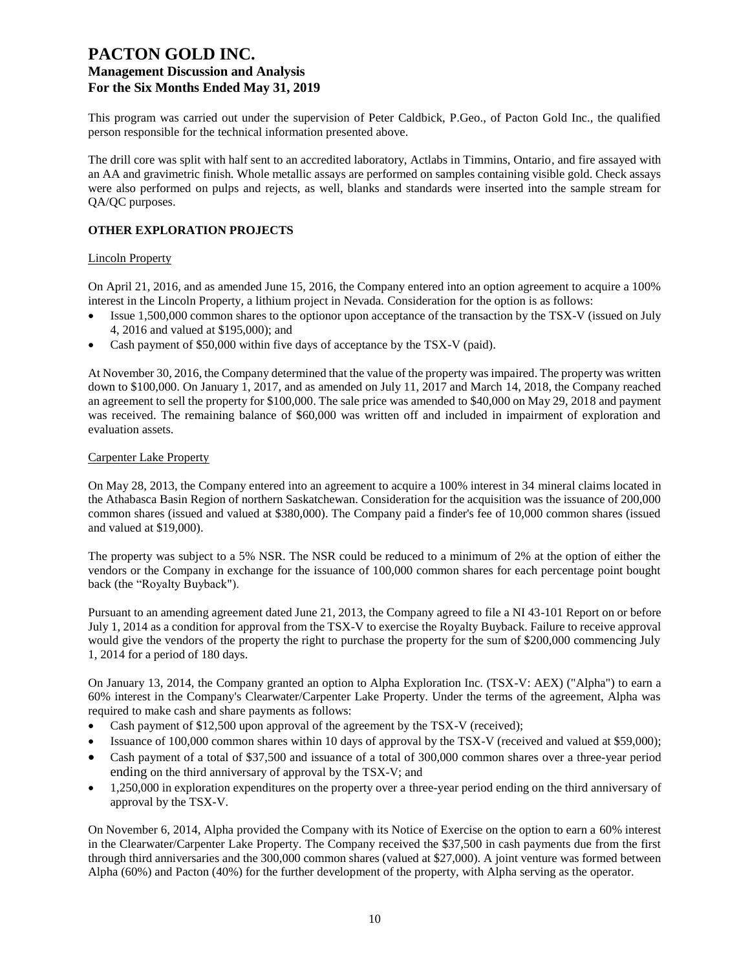This program was carried out under the supervision of Peter Caldbick, P.Geo., of Pacton Gold Inc., the qualified person responsible for the technical information presented above.

The drill core was split with half sent to an accredited laboratory, Actlabs in Timmins, Ontario, and fire assayed with an AA and gravimetric finish. Whole metallic assays are performed on samples containing visible gold. Check assays were also performed on pulps and rejects, as well, blanks and standards were inserted into the sample stream for QA/QC purposes.

### **OTHER EXPLORATION PROJECTS**

#### Lincoln Property

On April 21, 2016, and as amended June 15, 2016, the Company entered into an option agreement to acquire a 100% interest in the Lincoln Property, a lithium project in Nevada. Consideration for the option is as follows:

- Issue 1,500,000 common shares to the optionor upon acceptance of the transaction by the TSX-V (issued on July 4, 2016 and valued at \$195,000); and
- Cash payment of \$50,000 within five days of acceptance by the TSX-V (paid).

At November 30, 2016, the Company determined that the value of the property was impaired. The property was written down to \$100,000. On January 1, 2017, and as amended on July 11, 2017 and March 14, 2018, the Company reached an agreement to sell the property for \$100,000. The sale price was amended to \$40,000 on May 29, 2018 and payment was received. The remaining balance of \$60,000 was written off and included in impairment of exploration and evaluation assets.

#### Carpenter Lake Property

On May 28, 2013, the Company entered into an agreement to acquire a 100% interest in 34 mineral claims located in the Athabasca Basin Region of northern Saskatchewan. Consideration for the acquisition was the issuance of 200,000 common shares (issued and valued at \$380,000). The Company paid a finder's fee of 10,000 common shares (issued and valued at \$19,000).

The property was subject to a 5% NSR. The NSR could be reduced to a minimum of 2% at the option of either the vendors or the Company in exchange for the issuance of 100,000 common shares for each percentage point bought back (the "Royalty Buyback").

Pursuant to an amending agreement dated June 21, 2013, the Company agreed to file a NI 43-101 Report on or before July 1, 2014 as a condition for approval from the TSX-V to exercise the Royalty Buyback. Failure to receive approval would give the vendors of the property the right to purchase the property for the sum of \$200,000 commencing July 1, 2014 for a period of 180 days.

On January 13, 2014, the Company granted an option to Alpha Exploration Inc. (TSX-V: AEX) ("Alpha") to earn a 60% interest in the Company's Clearwater/Carpenter Lake Property. Under the terms of the agreement, Alpha was required to make cash and share payments as follows:

- Cash payment of \$12,500 upon approval of the agreement by the TSX-V (received);
- Issuance of 100,000 common shares within 10 days of approval by the TSX-V (received and valued at \$59,000);
- Cash payment of a total of \$37,500 and issuance of a total of 300,000 common shares over a three-year period ending on the third anniversary of approval by the TSX-V; and
- 1,250,000 in exploration expenditures on the property over a three-year period ending on the third anniversary of approval by the TSX-V.

On November 6, 2014, Alpha provided the Company with its Notice of Exercise on the option to earn a 60% interest in the Clearwater/Carpenter Lake Property. The Company received the \$37,500 in cash payments due from the first through third anniversaries and the 300,000 common shares (valued at \$27,000). A joint venture was formed between Alpha (60%) and Pacton (40%) for the further development of the property, with Alpha serving as the operator.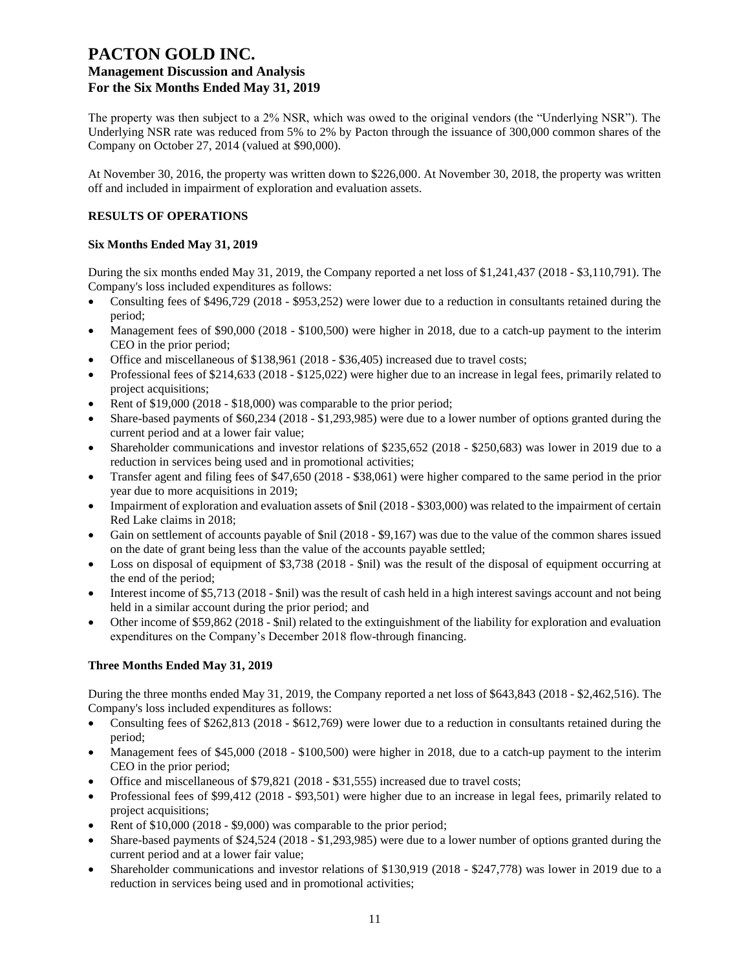The property was then subject to a 2% NSR, which was owed to the original vendors (the "Underlying NSR"). The Underlying NSR rate was reduced from 5% to 2% by Pacton through the issuance of 300,000 common shares of the Company on October 27, 2014 (valued at \$90,000).

At November 30, 2016, the property was written down to \$226,000. At November 30, 2018, the property was written off and included in impairment of exploration and evaluation assets.

### **RESULTS OF OPERATIONS**

### **Six Months Ended May 31, 2019**

During the six months ended May 31, 2019, the Company reported a net loss of \$1,241,437 (2018 - \$3,110,791). The Company's loss included expenditures as follows:

- Consulting fees of \$496,729 (2018 \$953,252) were lower due to a reduction in consultants retained during the period;
- Management fees of \$90,000 (2018 \$100,500) were higher in 2018, due to a catch-up payment to the interim CEO in the prior period;
- Office and miscellaneous of \$138,961 (2018 \$36,405) increased due to travel costs;
- Professional fees of \$214,633 (2018 \$125,022) were higher due to an increase in legal fees, primarily related to project acquisitions;
- Rent of \$19,000 (2018 \$18,000) was comparable to the prior period;
- Share-based payments of \$60,234 (2018 \$1,293,985) were due to a lower number of options granted during the current period and at a lower fair value;
- Shareholder communications and investor relations of \$235,652 (2018 \$250,683) was lower in 2019 due to a reduction in services being used and in promotional activities;
- Transfer agent and filing fees of \$47,650 (2018 \$38,061) were higher compared to the same period in the prior year due to more acquisitions in 2019;
- Impairment of exploration and evaluation assets of \$nil (2018 \$303,000) was related to the impairment of certain Red Lake claims in 2018;
- Gain on settlement of accounts payable of \$nil (2018 \$9,167) was due to the value of the common shares issued on the date of grant being less than the value of the accounts payable settled;
- Loss on disposal of equipment of \$3,738 (2018 \$nil) was the result of the disposal of equipment occurring at the end of the period;
- Interest income of \$5,713 (2018 \$nil) was the result of cash held in a high interest savings account and not being held in a similar account during the prior period; and
- Other income of \$59,862 (2018 \$nil) related to the extinguishment of the liability for exploration and evaluation expenditures on the Company's December 2018 flow-through financing.

### **Three Months Ended May 31, 2019**

During the three months ended May 31, 2019, the Company reported a net loss of \$643,843 (2018 - \$2,462,516). The Company's loss included expenditures as follows:

- Consulting fees of \$262,813 (2018 \$612,769) were lower due to a reduction in consultants retained during the period;
- Management fees of \$45,000 (2018 \$100,500) were higher in 2018, due to a catch-up payment to the interim CEO in the prior period;
- Office and miscellaneous of \$79,821 (2018 \$31,555) increased due to travel costs;
- Professional fees of \$99,412 (2018 \$93,501) were higher due to an increase in legal fees, primarily related to project acquisitions;
- Rent of \$10,000 (2018 \$9,000) was comparable to the prior period;
- Share-based payments of \$24,524 (2018 \$1,293,985) were due to a lower number of options granted during the current period and at a lower fair value;
- Shareholder communications and investor relations of \$130,919 (2018 \$247,778) was lower in 2019 due to a reduction in services being used and in promotional activities;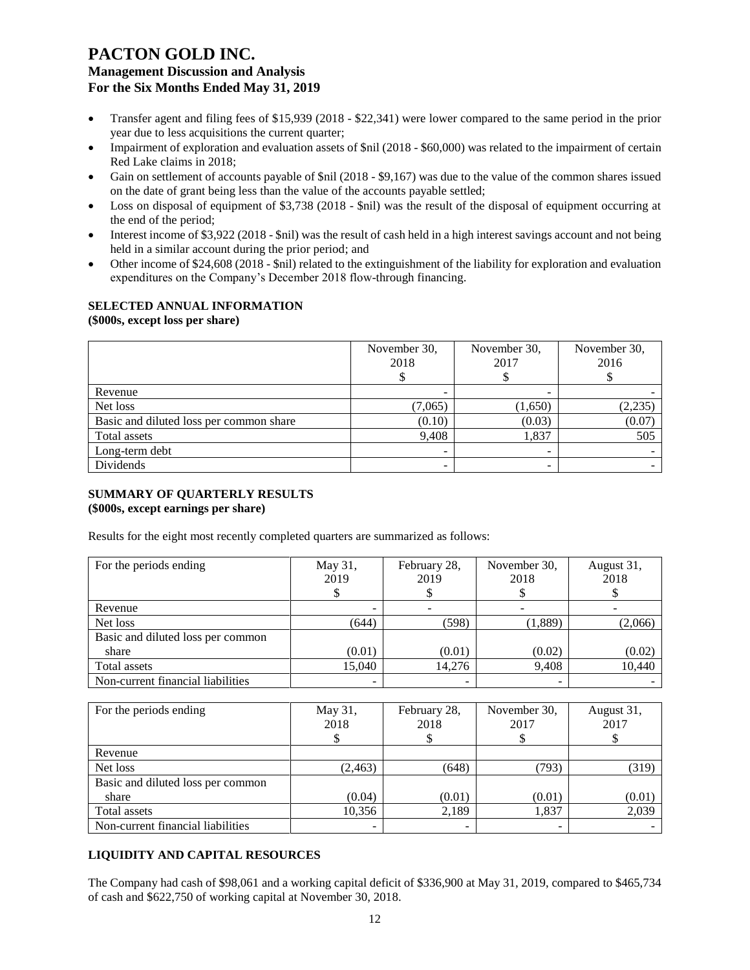- Transfer agent and filing fees of \$15,939 (2018 \$22,341) were lower compared to the same period in the prior year due to less acquisitions the current quarter;
- Impairment of exploration and evaluation assets of \$nil (2018 \$60,000) was related to the impairment of certain Red Lake claims in 2018;
- Gain on settlement of accounts payable of \$nil (2018 \$9,167) was due to the value of the common shares issued on the date of grant being less than the value of the accounts payable settled;
- Loss on disposal of equipment of \$3,738 (2018 \$nil) was the result of the disposal of equipment occurring at the end of the period;
- Interest income of \$3,922 (2018 \$nil) was the result of cash held in a high interest savings account and not being held in a similar account during the prior period; and
- Other income of \$24,608 (2018 \$nil) related to the extinguishment of the liability for exploration and evaluation expenditures on the Company's December 2018 flow-through financing.

## **SELECTED ANNUAL INFORMATION**

**(\$000s, except loss per share)**

|                                         | November 30,<br>2018 | November 30,<br>2017 | November 30,<br>2016 |
|-----------------------------------------|----------------------|----------------------|----------------------|
| Revenue                                 |                      |                      |                      |
| Net loss                                | (7,065)              | (1,650)              | (2, 235)             |
| Basic and diluted loss per common share | (0.10)               | (0.03)               | (0.07)               |
| Total assets                            | 9,408                | 1,837                | 505                  |
| Long-term debt                          |                      |                      |                      |
| Dividends                               | -                    |                      |                      |

### **SUMMARY OF QUARTERLY RESULTS**

### **(\$000s, except earnings per share)**

Results for the eight most recently completed quarters are summarized as follows:

| For the periods ending            | May 31, | February 28, | November 30, | August 31, |
|-----------------------------------|---------|--------------|--------------|------------|
|                                   | 2019    | 2019         | 2018         | 2018       |
|                                   |         |              |              |            |
| Revenue                           |         |              |              |            |
| Net loss                          | (644)   | (598)        | (1,889)      | (2,066)    |
| Basic and diluted loss per common |         |              |              |            |
| share                             | (0.01)  | (0.01)       | (0.02)       | (0.02)     |
| Total assets                      | 15,040  | 14.276       | 9,408        | 10,440     |
| Non-current financial liabilities |         |              |              |            |

| For the periods ending            | May 31,<br>2018 | February 28,<br>2018 | November 30,<br>2017 | August 31,<br>2017 |
|-----------------------------------|-----------------|----------------------|----------------------|--------------------|
| Revenue                           |                 |                      |                      |                    |
| Net loss                          | (2, 463)        | (648)                | (793)                | (319)              |
| Basic and diluted loss per common |                 |                      |                      |                    |
| share                             | (0.04)          | (0.01)               | (0.01)               | (0.01)             |
| Total assets                      | 10,356          | 2,189                | 1,837                | 2,039              |
| Non-current financial liabilities | -               |                      |                      |                    |

### **LIQUIDITY AND CAPITAL RESOURCES**

The Company had cash of \$98,061 and a working capital deficit of \$336,900 at May 31, 2019, compared to \$465,734 of cash and \$622,750 of working capital at November 30, 2018.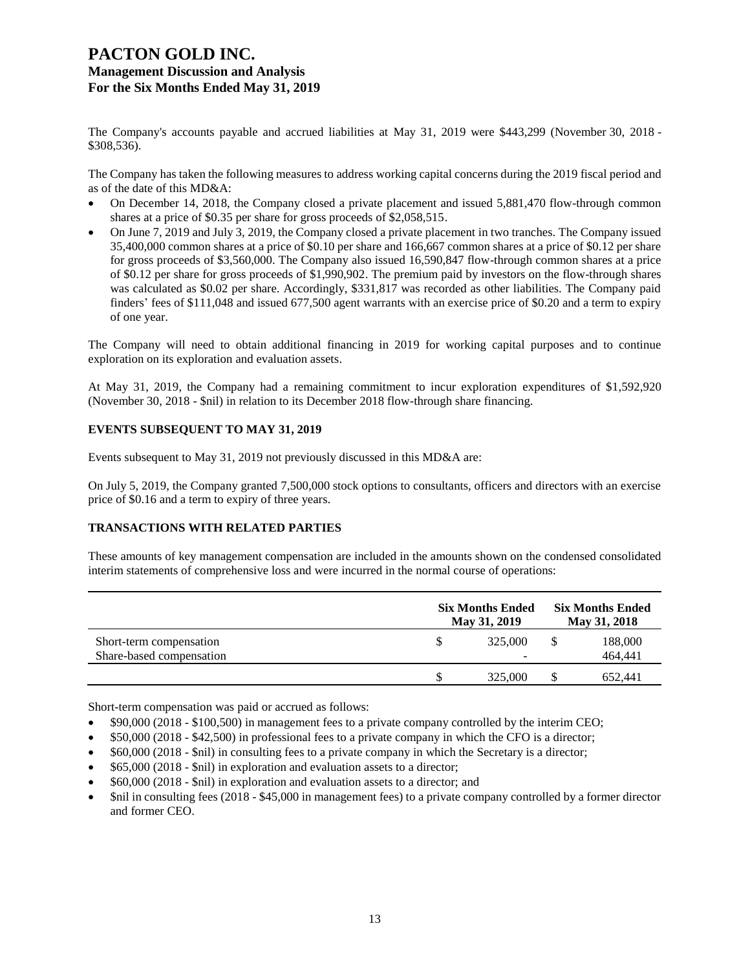The Company's accounts payable and accrued liabilities at May 31, 2019 were \$443,299 (November 30, 2018 - \$308,536).

The Company has taken the following measures to address working capital concerns during the 2019 fiscal period and as of the date of this MD&A:

- On December 14, 2018, the Company closed a private placement and issued 5,881,470 flow-through common shares at a price of \$0.35 per share for gross proceeds of \$2,058,515.
- On June 7, 2019 and July 3, 2019, the Company closed a private placement in two tranches. The Company issued 35,400,000 common shares at a price of \$0.10 per share and 166,667 common shares at a price of \$0.12 per share for gross proceeds of \$3,560,000. The Company also issued 16,590,847 flow-through common shares at a price of \$0.12 per share for gross proceeds of \$1,990,902. The premium paid by investors on the flow-through shares was calculated as \$0.02 per share. Accordingly, \$331,817 was recorded as other liabilities. The Company paid finders' fees of \$111,048 and issued 677,500 agent warrants with an exercise price of \$0.20 and a term to expiry of one year.

The Company will need to obtain additional financing in 2019 for working capital purposes and to continue exploration on its exploration and evaluation assets.

At May 31, 2019, the Company had a remaining commitment to incur exploration expenditures of \$1,592,920 (November 30, 2018 - \$nil) in relation to its December 2018 flow-through share financing.

#### **EVENTS SUBSEQUENT TO MAY 31, 2019**

Events subsequent to May 31, 2019 not previously discussed in this MD&A are:

On July 5, 2019, the Company granted 7,500,000 stock options to consultants, officers and directors with an exercise price of \$0.16 and a term to expiry of three years.

### **TRANSACTIONS WITH RELATED PARTIES**

These amounts of key management compensation are included in the amounts shown on the condensed consolidated interim statements of comprehensive loss and were incurred in the normal course of operations:

|                                                     | <b>Six Months Ended</b><br>May 31, 2019 | <b>Six Months Ended</b><br>May 31, 2018 |                    |  |
|-----------------------------------------------------|-----------------------------------------|-----------------------------------------|--------------------|--|
| Short-term compensation<br>Share-based compensation | 325,000                                 |                                         | 188,000<br>464,441 |  |
|                                                     | 325,000                                 |                                         | 652.441            |  |

Short-term compensation was paid or accrued as follows:

- \$90,000 (2018 \$100,500) in management fees to a private company controlled by the interim CEO;
- \$50,000 (2018 \$42,500) in professional fees to a private company in which the CFO is a director;
- \$60,000 (2018 \$nil) in consulting fees to a private company in which the Secretary is a director;
- \$65,000 (2018 \$nil) in exploration and evaluation assets to a director;
- \$60,000 (2018 \$nil) in exploration and evaluation assets to a director; and
- \$nil in consulting fees (2018 \$45,000 in management fees) to a private company controlled by a former director and former CEO.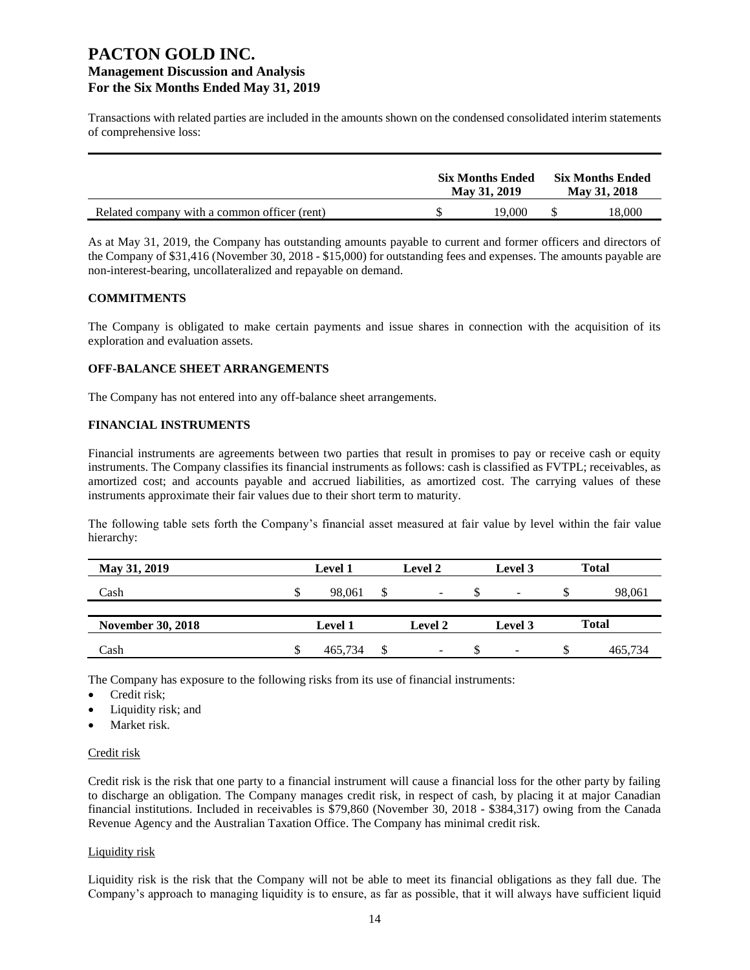Transactions with related parties are included in the amounts shown on the condensed consolidated interim statements of comprehensive loss:

|                                              | <b>Six Months Ended</b><br>May 31, 2019 | <b>Six Months Ended</b><br>May 31, 2018 |
|----------------------------------------------|-----------------------------------------|-----------------------------------------|
| Related company with a common officer (rent) | 19.000                                  | 18.000                                  |

As at May 31, 2019, the Company has outstanding amounts payable to current and former officers and directors of the Company of \$31,416 (November 30, 2018 - \$15,000) for outstanding fees and expenses. The amounts payable are non-interest-bearing, uncollateralized and repayable on demand.

#### **COMMITMENTS**

The Company is obligated to make certain payments and issue shares in connection with the acquisition of its exploration and evaluation assets.

#### **OFF-BALANCE SHEET ARRANGEMENTS**

The Company has not entered into any off-balance sheet arrangements.

### **FINANCIAL INSTRUMENTS**

Financial instruments are agreements between two parties that result in promises to pay or receive cash or equity instruments. The Company classifies its financial instruments as follows: cash is classified as FVTPL; receivables, as amortized cost; and accounts payable and accrued liabilities, as amortized cost. The carrying values of these instruments approximate their fair values due to their short term to maturity.

The following table sets forth the Company's financial asset measured at fair value by level within the fair value hierarchy:

| May 31, 2019             | <b>Level 1</b> |   | Level 2        |    | Level 3                  |    | Total        |
|--------------------------|----------------|---|----------------|----|--------------------------|----|--------------|
| Cash                     | 98,061         | S | ۰              | ъD | -                        | ъD | 98,061       |
|                          |                |   |                |    |                          |    |              |
| <b>November 30, 2018</b> | <b>Level 1</b> |   | <b>Level 2</b> |    | Level 3                  |    | <b>Total</b> |
| Cash                     | 465,734        |   | -              |    | $\overline{\phantom{0}}$ | S  | 465,734      |

The Company has exposure to the following risks from its use of financial instruments:

- Credit risk;
- Liquidity risk; and
- Market risk.

#### Credit risk

Credit risk is the risk that one party to a financial instrument will cause a financial loss for the other party by failing to discharge an obligation. The Company manages credit risk, in respect of cash, by placing it at major Canadian financial institutions. Included in receivables is \$79,860 (November 30, 2018 - \$384,317) owing from the Canada Revenue Agency and the Australian Taxation Office. The Company has minimal credit risk.

#### Liquidity risk

Liquidity risk is the risk that the Company will not be able to meet its financial obligations as they fall due. The Company's approach to managing liquidity is to ensure, as far as possible, that it will always have sufficient liquid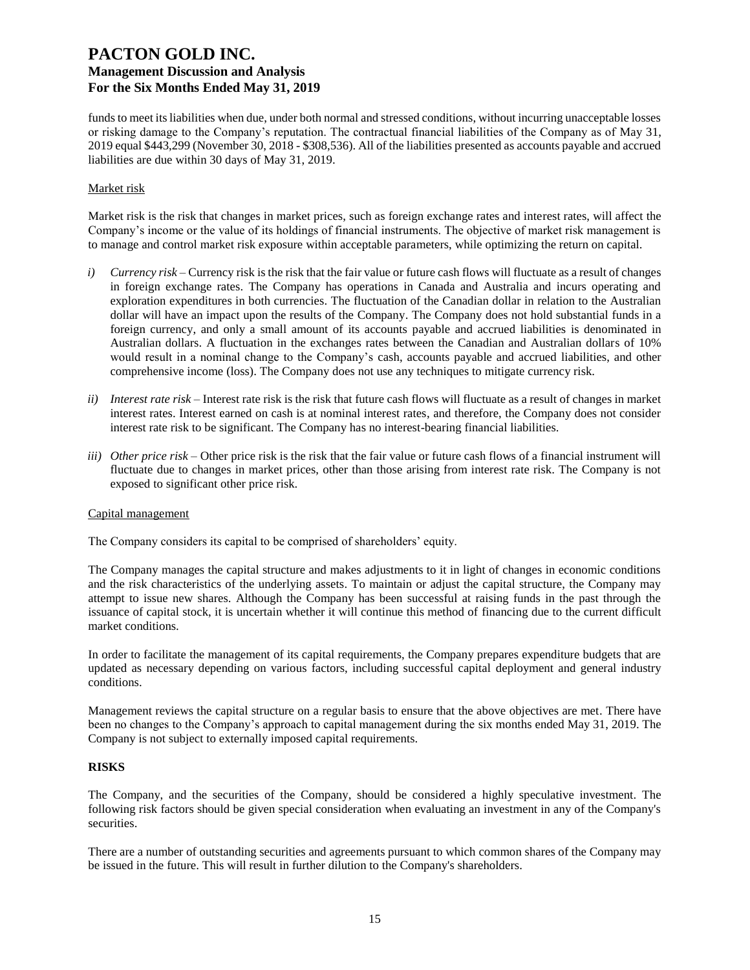funds to meet its liabilities when due, under both normal and stressed conditions, without incurring unacceptable losses or risking damage to the Company's reputation. The contractual financial liabilities of the Company as of May 31, 2019 equal \$443,299 (November 30, 2018 - \$308,536). All of the liabilities presented as accounts payable and accrued liabilities are due within 30 days of May 31, 2019.

### Market risk

Market risk is the risk that changes in market prices, such as foreign exchange rates and interest rates, will affect the Company's income or the value of its holdings of financial instruments. The objective of market risk management is to manage and control market risk exposure within acceptable parameters, while optimizing the return on capital.

- *i) Currency risk* Currency risk is the risk that the fair value or future cash flows will fluctuate as a result of changes in foreign exchange rates. The Company has operations in Canada and Australia and incurs operating and exploration expenditures in both currencies. The fluctuation of the Canadian dollar in relation to the Australian dollar will have an impact upon the results of the Company. The Company does not hold substantial funds in a foreign currency, and only a small amount of its accounts payable and accrued liabilities is denominated in Australian dollars. A fluctuation in the exchanges rates between the Canadian and Australian dollars of 10% would result in a nominal change to the Company's cash, accounts payable and accrued liabilities, and other comprehensive income (loss). The Company does not use any techniques to mitigate currency risk.
- *ii) Interest rate risk –* Interest rate risk is the risk that future cash flows will fluctuate as a result of changes in market interest rates. Interest earned on cash is at nominal interest rates, and therefore, the Company does not consider interest rate risk to be significant. The Company has no interest-bearing financial liabilities.
- *iii) Other price risk –* Other price risk is the risk that the fair value or future cash flows of a financial instrument will fluctuate due to changes in market prices, other than those arising from interest rate risk. The Company is not exposed to significant other price risk.

### Capital management

The Company considers its capital to be comprised of shareholders' equity.

The Company manages the capital structure and makes adjustments to it in light of changes in economic conditions and the risk characteristics of the underlying assets. To maintain or adjust the capital structure, the Company may attempt to issue new shares. Although the Company has been successful at raising funds in the past through the issuance of capital stock, it is uncertain whether it will continue this method of financing due to the current difficult market conditions.

In order to facilitate the management of its capital requirements, the Company prepares expenditure budgets that are updated as necessary depending on various factors, including successful capital deployment and general industry conditions.

Management reviews the capital structure on a regular basis to ensure that the above objectives are met. There have been no changes to the Company's approach to capital management during the six months ended May 31, 2019. The Company is not subject to externally imposed capital requirements.

### **RISKS**

The Company, and the securities of the Company, should be considered a highly speculative investment. The following risk factors should be given special consideration when evaluating an investment in any of the Company's securities.

There are a number of outstanding securities and agreements pursuant to which common shares of the Company may be issued in the future. This will result in further dilution to the Company's shareholders.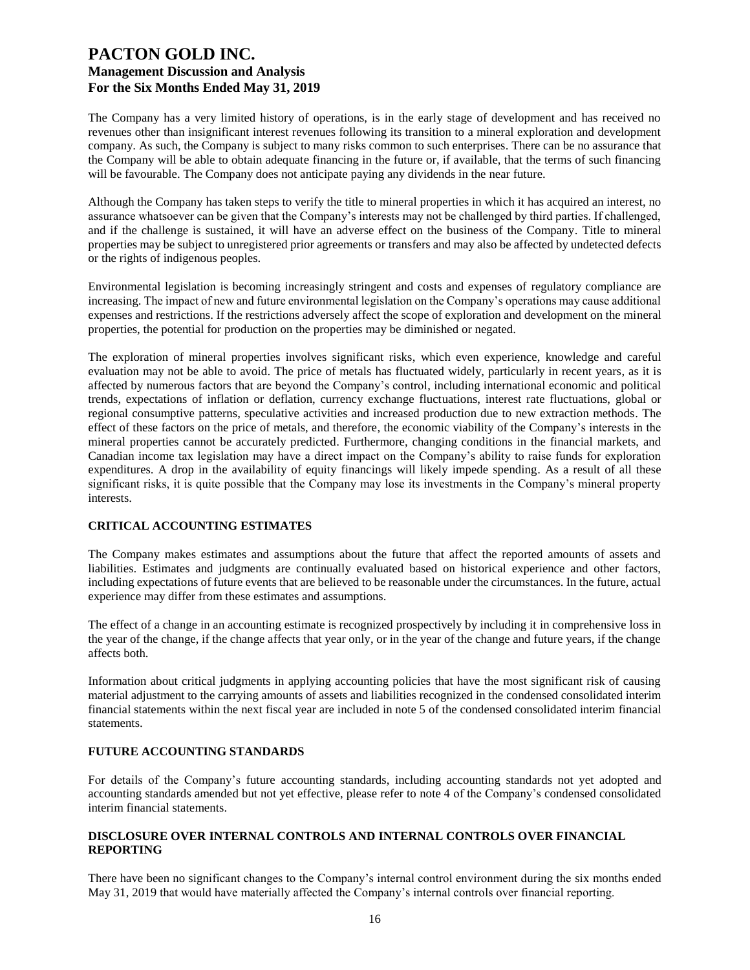The Company has a very limited history of operations, is in the early stage of development and has received no revenues other than insignificant interest revenues following its transition to a mineral exploration and development company. As such, the Company is subject to many risks common to such enterprises. There can be no assurance that the Company will be able to obtain adequate financing in the future or, if available, that the terms of such financing will be favourable. The Company does not anticipate paying any dividends in the near future.

Although the Company has taken steps to verify the title to mineral properties in which it has acquired an interest, no assurance whatsoever can be given that the Company's interests may not be challenged by third parties. If challenged, and if the challenge is sustained, it will have an adverse effect on the business of the Company. Title to mineral properties may be subject to unregistered prior agreements or transfers and may also be affected by undetected defects or the rights of indigenous peoples.

Environmental legislation is becoming increasingly stringent and costs and expenses of regulatory compliance are increasing. The impact of new and future environmental legislation on the Company's operations may cause additional expenses and restrictions. If the restrictions adversely affect the scope of exploration and development on the mineral properties, the potential for production on the properties may be diminished or negated.

The exploration of mineral properties involves significant risks, which even experience, knowledge and careful evaluation may not be able to avoid. The price of metals has fluctuated widely, particularly in recent years, as it is affected by numerous factors that are beyond the Company's control, including international economic and political trends, expectations of inflation or deflation, currency exchange fluctuations, interest rate fluctuations, global or regional consumptive patterns, speculative activities and increased production due to new extraction methods. The effect of these factors on the price of metals, and therefore, the economic viability of the Company's interests in the mineral properties cannot be accurately predicted. Furthermore, changing conditions in the financial markets, and Canadian income tax legislation may have a direct impact on the Company's ability to raise funds for exploration expenditures. A drop in the availability of equity financings will likely impede spending. As a result of all these significant risks, it is quite possible that the Company may lose its investments in the Company's mineral property interests.

### **CRITICAL ACCOUNTING ESTIMATES**

The Company makes estimates and assumptions about the future that affect the reported amounts of assets and liabilities. Estimates and judgments are continually evaluated based on historical experience and other factors, including expectations of future events that are believed to be reasonable under the circumstances. In the future, actual experience may differ from these estimates and assumptions.

The effect of a change in an accounting estimate is recognized prospectively by including it in comprehensive loss in the year of the change, if the change affects that year only, or in the year of the change and future years, if the change affects both.

Information about critical judgments in applying accounting policies that have the most significant risk of causing material adjustment to the carrying amounts of assets and liabilities recognized in the condensed consolidated interim financial statements within the next fiscal year are included in note 5 of the condensed consolidated interim financial statements.

### **FUTURE ACCOUNTING STANDARDS**

For details of the Company's future accounting standards, including accounting standards not yet adopted and accounting standards amended but not yet effective, please refer to note 4 of the Company's condensed consolidated interim financial statements.

### **DISCLOSURE OVER INTERNAL CONTROLS AND INTERNAL CONTROLS OVER FINANCIAL REPORTING**

There have been no significant changes to the Company's internal control environment during the six months ended May 31, 2019 that would have materially affected the Company's internal controls over financial reporting.